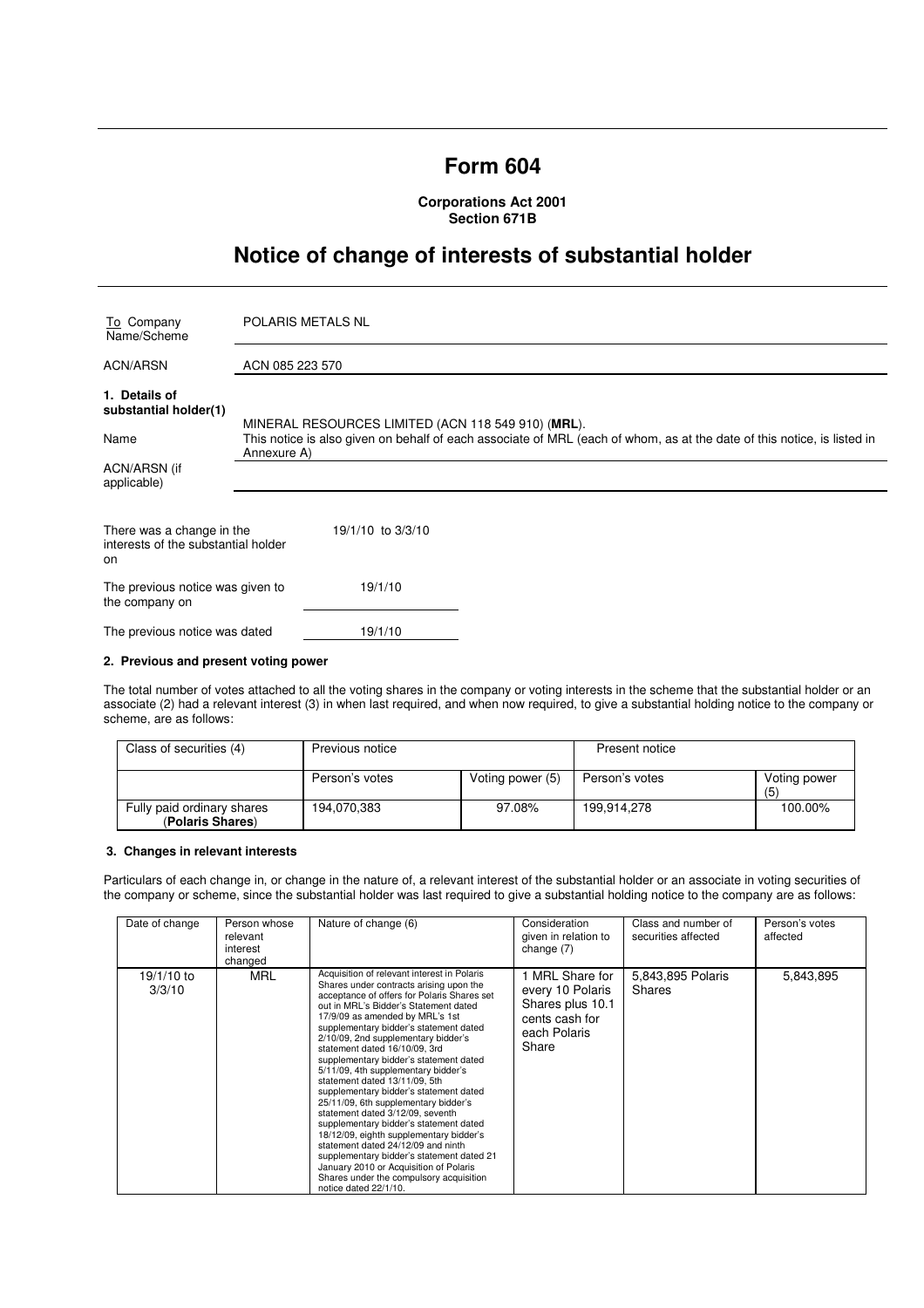# **Form 604**

**Corporations Act 2001 Section 671B** 

# **Notice of change of interests of substantial holder**

| To Company<br>Name/Scheme                                              | <b>POLARIS METALS NL</b>                                                                                                                                                                     |  |  |
|------------------------------------------------------------------------|----------------------------------------------------------------------------------------------------------------------------------------------------------------------------------------------|--|--|
| <b>ACN/ARSN</b>                                                        | ACN 085 223 570                                                                                                                                                                              |  |  |
| 1. Details of<br>substantial holder(1)                                 |                                                                                                                                                                                              |  |  |
| Name                                                                   | MINERAL RESOURCES LIMITED (ACN 118 549 910) (MRL).<br>This notice is also given on behalf of each associate of MRL (each of whom, as at the date of this notice, is listed in<br>Annexure A) |  |  |
| ACN/ARSN (if<br>applicable)                                            |                                                                                                                                                                                              |  |  |
| There was a change in the<br>interests of the substantial holder<br>on | 19/1/10 to 3/3/10                                                                                                                                                                            |  |  |
| The previous notice was given to<br>the company on                     | 19/1/10                                                                                                                                                                                      |  |  |
| The previous notice was dated                                          | 19/1/10                                                                                                                                                                                      |  |  |

### **2. Previous and present voting power**

The total number of votes attached to all the voting shares in the company or voting interests in the scheme that the substantial holder or an associate (2) had a relevant interest (3) in when last required, and when now required, to give a substantial holding notice to the company or scheme, are as follows:

| Class of securities (4)                        | Previous notice |                  | Present notice |                     |
|------------------------------------------------|-----------------|------------------|----------------|---------------------|
|                                                | Person's votes  | Voting power (5) | Person's votes | Voting power<br>(5) |
| Fully paid ordinary shares<br>(Polaris Shares) | 194,070,383     | 97.08%           | 199.914.278    | 100.00%             |

# **3. Changes in relevant interests**

Particulars of each change in, or change in the nature of, a relevant interest of the substantial holder or an associate in voting securities of the company or scheme, since the substantial holder was last required to give a substantial holding notice to the company are as follows:

| Date of change       | Person whose<br>relevant<br>interest<br>changed | Nature of change (6)                                                                                                                                                                                                                                                                                                                                                                                                                                                                                                                                                                                                                                                                                                                                                                                                                                              | Consideration<br>given in relation to<br>change (7)                                                | Class and number of<br>securities affected | Person's votes<br>affected |
|----------------------|-------------------------------------------------|-------------------------------------------------------------------------------------------------------------------------------------------------------------------------------------------------------------------------------------------------------------------------------------------------------------------------------------------------------------------------------------------------------------------------------------------------------------------------------------------------------------------------------------------------------------------------------------------------------------------------------------------------------------------------------------------------------------------------------------------------------------------------------------------------------------------------------------------------------------------|----------------------------------------------------------------------------------------------------|--------------------------------------------|----------------------------|
| 19/1/10 to<br>3/3/10 | <b>MRL</b>                                      | Acquisition of relevant interest in Polaris<br>Shares under contracts arising upon the<br>acceptance of offers for Polaris Shares set<br>out in MRL's Bidder's Statement dated<br>17/9/09 as amended by MRL's 1st<br>supplementary bidder's statement dated<br>2/10/09, 2nd supplementary bidder's<br>statement dated 16/10/09, 3rd<br>supplementary bidder's statement dated<br>5/11/09, 4th supplementary bidder's<br>statement dated 13/11/09, 5th<br>supplementary bidder's statement dated<br>25/11/09, 6th supplementary bidder's<br>statement dated 3/12/09, seventh<br>supplementary bidder's statement dated<br>18/12/09, eighth supplementary bidder's<br>statement dated 24/12/09 and ninth<br>supplementary bidder's statement dated 21<br>January 2010 or Acquisition of Polaris<br>Shares under the compulsory acquisition<br>notice dated 22/1/10. | 1 MRL Share for<br>every 10 Polaris<br>Shares plus 10.1<br>cents cash for<br>each Polaris<br>Share | 5,843,895 Polaris<br>Shares                | 5,843,895                  |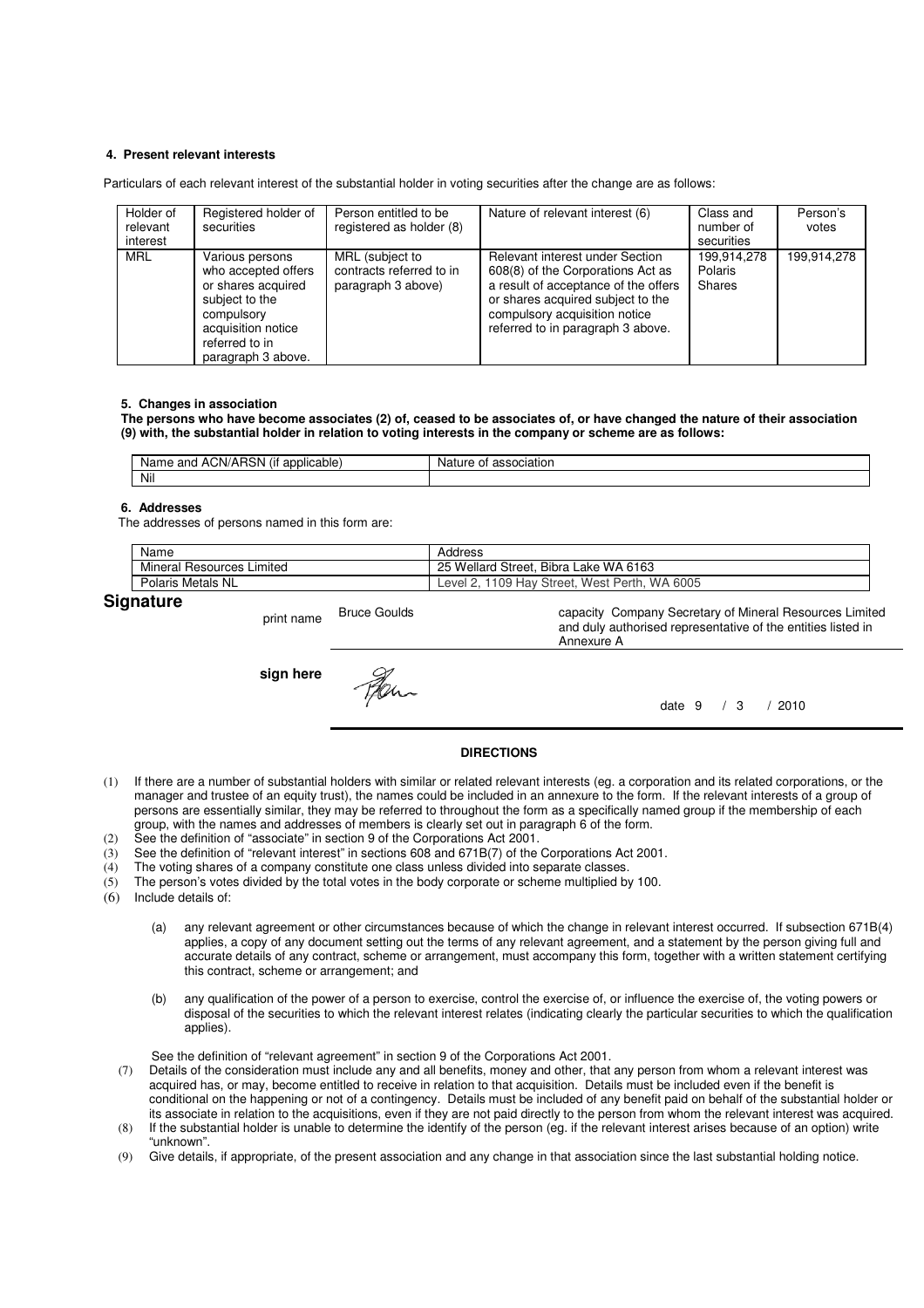### **4. Present relevant interests**

Particulars of each relevant interest of the substantial holder in voting securities after the change are as follows:

| Holder of<br>relevant<br>interest | Registered holder of<br>securities                                                                                                                         | Person entitled to be<br>registered as holder (8)                 | Nature of relevant interest (6)                                                                                                                                                                                         | Class and<br>number of<br>securities    | Person's<br>votes |
|-----------------------------------|------------------------------------------------------------------------------------------------------------------------------------------------------------|-------------------------------------------------------------------|-------------------------------------------------------------------------------------------------------------------------------------------------------------------------------------------------------------------------|-----------------------------------------|-------------------|
| <b>MRL</b>                        | Various persons<br>who accepted offers<br>or shares acquired<br>subject to the<br>compulsory<br>acquisition notice<br>referred to in<br>paragraph 3 above. | MRL (subject to<br>contracts referred to in<br>paragraph 3 above) | Relevant interest under Section<br>608(8) of the Corporations Act as<br>a result of acceptance of the offers<br>or shares acquired subject to the<br>compulsory acquisition notice<br>referred to in paragraph 3 above. | 199.914.278<br><b>Polaris</b><br>Shares | 199,914,278       |

#### **5. Changes in association**

**The persons who have become associates (2) of, ceased to be associates of, or have changed the nature of their association (9) with, the substantial holder in relation to voting interests in the company or scheme are as follows:** 

| $\cdots$<br>and ACN/ARSN<br><br>applicable<br>Name.<br>ίH | association<br>Nature<br>JТ |
|-----------------------------------------------------------|-----------------------------|
| Nil                                                       |                             |

#### **6. Addresses**

The addresses of persons named in this form are:

| Name                             | Address                                       |
|----------------------------------|-----------------------------------------------|
| <b>Mineral Resources Limited</b> | 25 Wellard Street, Bibra Lake WA 6163         |
| Polaris Metals NL                | Level 2, 1109 Hay Street, West Perth, WA 6005 |
|                                  |                                               |

Annexure A

# **Signature**

print name Bruce Goulds

**sign here**

date 9 / 3 / 2010

capacity Company Secretary of Mineral Resources Limited and duly authorised representative of the entities listed in

#### **DIRECTIONS**

- (1) If there are a number of substantial holders with similar or related relevant interests (eg. a corporation and its related corporations, or the manager and trustee of an equity trust), the names could be included in an annexure to the form. If the relevant interests of a group of persons are essentially similar, they may be referred to throughout the form as a specifically named group if the membership of each group, with the names and addresses of members is clearly set out in paragraph 6 of the form.
- (2) See the definition of "associate" in section 9 of the Corporations Act 2001.
- (3) See the definition of "relevant interest" in sections 608 and 671B(7) of the Corporations Act 2001.
- (4) The voting shares of a company constitute one class unless divided into separate classes.
- (5) The person's votes divided by the total votes in the body corporate or scheme multiplied by 100.
- (6) Include details of:
	- (a) any relevant agreement or other circumstances because of which the change in relevant interest occurred. If subsection 671B(4) applies, a copy of any document setting out the terms of any relevant agreement, and a statement by the person giving full and accurate details of any contract, scheme or arrangement, must accompany this form, together with a written statement certifying this contract, scheme or arrangement; and
	- (b) any qualification of the power of a person to exercise, control the exercise of, or influence the exercise of, the voting powers or disposal of the securities to which the relevant interest relates (indicating clearly the particular securities to which the qualification applies).

See the definition of "relevant agreement" in section 9 of the Corporations Act 2001.

- (7) Details of the consideration must include any and all benefits, money and other, that any person from whom a relevant interest was acquired has, or may, become entitled to receive in relation to that acquisition. Details must be included even if the benefit is conditional on the happening or not of a contingency. Details must be included of any benefit paid on behalf of the substantial holder or its associate in relation to the acquisitions, even if they are not paid directly to the person from whom the relevant interest was acquired.
- (8) If the substantial holder is unable to determine the identify of the person (eg. if the relevant interest arises because of an option) write "unknown".
- (9) Give details, if appropriate, of the present association and any change in that association since the last substantial holding notice.